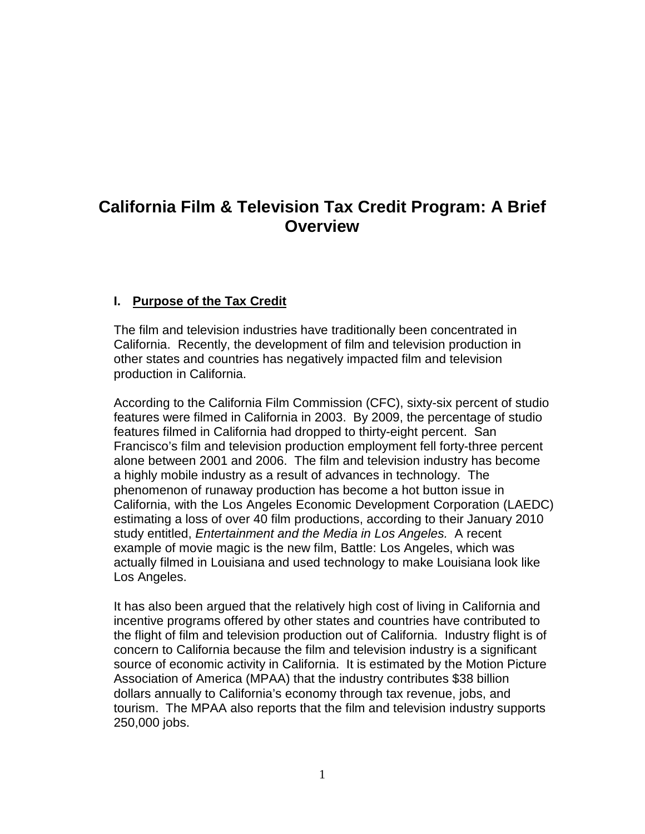# **California Film & Television Tax Credit Program: A Brief Overview**

#### **I. Purpose of the Tax Credit**

 The film and television industries have traditionally been concentrated in California. Recently, the development of film and television production in other states and countries has negatively impacted film and television production in California.

 According to the California Film Commission (CFC), sixty-six percent of studio features were filmed in California in 2003. By 2009, the percentage of studio Francisco's film and television production employment fell forty-three percent alone between 2001 and 2006. The film and television industry has become a highly mobile industry as a result of advances in technology. The phenomenon of runaway production has become a hot button issue in California, with the Los Angeles Economic Development Corporation (LAEDC) estimating a loss of over 40 film productions, according to their January 2010 study entitled, Entertainment and the Media in Los Angeles. A recent example of movie magic is the new film, Battle: Los Angeles, which was actually filmed in Louisiana and used technology to make Louisiana look like Los Angeles. features filmed in California had dropped to thirty-eight percent. San

 It has also been argued that the relatively high cost of living in California and incentive programs offered by other states and countries have contributed to the flight of film and television production out of California. Industry flight is of concern to California because the film and television industry is a significant source of economic activity in California. It is estimated by the Motion Picture Association of America (MPAA) that the industry contributes \$38 billion dollars annually to California's economy through tax revenue, jobs, and tourism. The MPAA also reports that the film and television industry supports 250,000 jobs.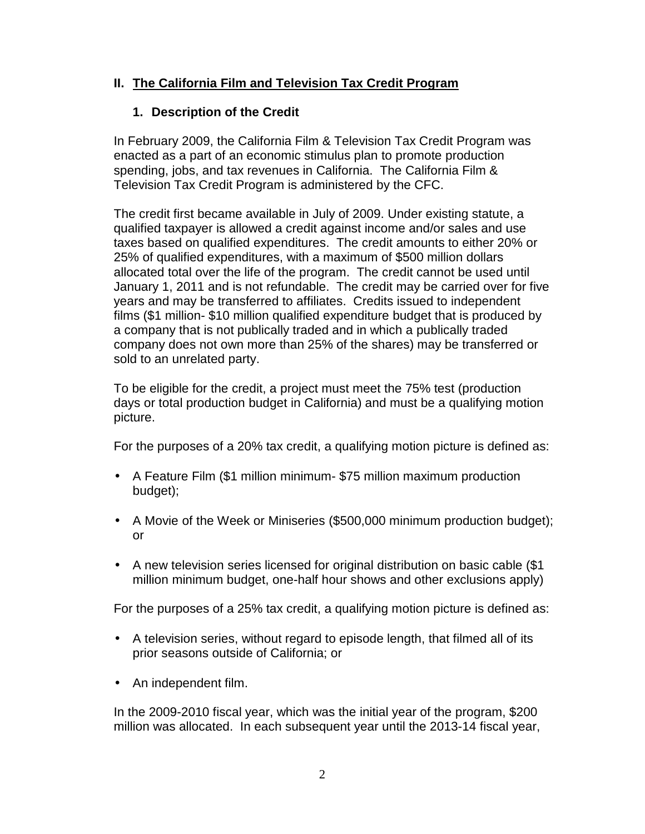### **II. The California Film and Television Tax Credit Program**

### **1. Description of the Credit**

 In February 2009, the California Film & Television Tax Credit Program was enacted as a part of an economic stimulus plan to promote production spending, jobs, and tax revenues in California. The California Film & Television Tax Credit Program is administered by the CFC.

 The credit first became available in July of 2009. Under existing statute, a qualified taxpayer is allowed a credit against income and/or sales and use taxes based on qualified expenditures. The credit amounts to either 20% or 25% of qualified expenditures, with a maximum of \$500 million dollars allocated total over the life of the program. The credit cannot be used until January 1, 2011 and is not refundable. The credit may be carried over for five years and may be transferred to affiliates. Credits issued to independent films (\$1 million- \$10 million qualified expenditure budget that is produced by a company that is not publically traded and in which a publically traded company does not own more than 25% of the shares) may be transferred or sold to an unrelated party.

 To be eligible for the credit, a project must meet the 75% test (production days or total production budget in California) and must be a qualifying motion picture.

For the purposes of a 20% tax credit, a qualifying motion picture is defined as:

- A Feature Film (\$1 million minimum- \$75 million maximum production budget);
- A Movie of the Week or Miniseries (\$500,000 minimum production budget); or
- A new television series licensed for original distribution on basic cable (\$1 million minimum budget, one-half hour shows and other exclusions apply)

For the purposes of a 25% tax credit, a qualifying motion picture is defined as:

- A television series, without regard to episode length, that filmed all of its prior seasons outside of California; or
- An independent film.

 In the 2009-2010 fiscal year, which was the initial year of the program, \$200 million was allocated. In each subsequent year until the 2013-14 fiscal year,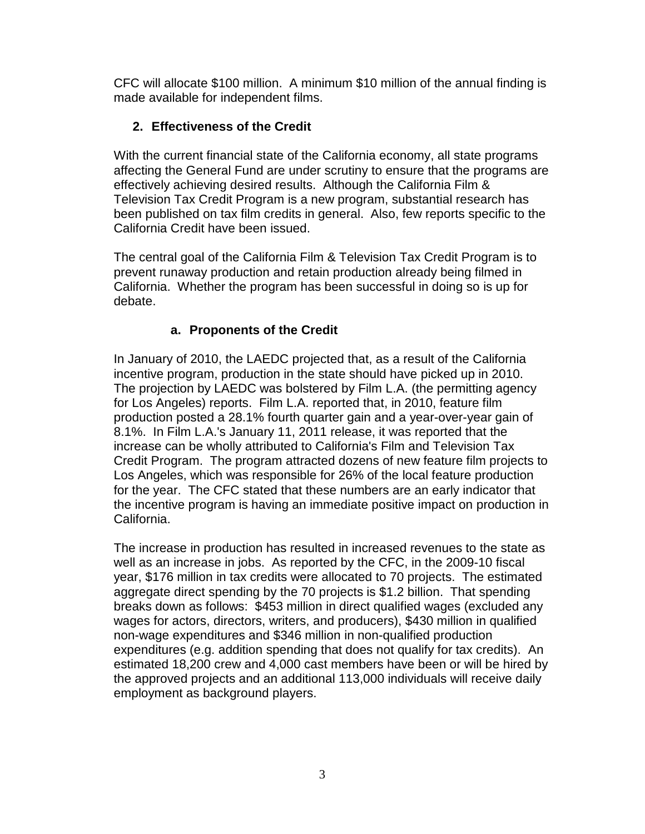CFC will allocate \$100 million. A minimum \$10 million of the annual finding is made available for independent films.

### **2. Effectiveness of the Credit**

 With the current financial state of the California economy, all state programs affecting the General Fund are under scrutiny to ensure that the programs are effectively achieving desired results. Although the California Film & Television Tax Credit Program is a new program, substantial research has been published on tax film credits in general. Also, few reports specific to the California Credit have been issued.

 The central goal of the California Film & Television Tax Credit Program is to prevent runaway production and retain production already being filmed in California. Whether the program has been successful in doing so is up for debate.

## **a. Proponents of the Credit**

 In January of 2010, the LAEDC projected that, as a result of the California incentive program, production in the state should have picked up in 2010. The projection by LAEDC was bolstered by Film L.A. (the permitting agency for Los Angeles) reports. Film L.A. reported that, in 2010, feature film production posted a 28.1% fourth quarter gain and a year-over-year gain of 8.1%. In Film L.A.'s January 11, 2011 release, it was reported that the increase can be wholly attributed to California's Film and Television Tax Credit Program. The program attracted dozens of new feature film projects to Los Angeles, which was responsible for 26% of the local feature production for the year. The CFC stated that these numbers are an early indicator that the incentive program is having an immediate positive impact on production in California.

 The increase in production has resulted in increased revenues to the state as well as an increase in jobs. As reported by the CFC, in the 2009-10 fiscal year, \$176 million in tax credits were allocated to 70 projects. The estimated aggregate direct spending by the 70 projects is \$1.2 billion. That spending breaks down as follows: \$453 million in direct qualified wages (excluded any wages for actors, directors, writers, and producers), \$430 million in qualified non-wage expenditures and \$346 million in non-qualified production expenditures (e.g. addition spending that does not qualify for tax credits). An estimated 18,200 crew and 4,000 cast members have been or will be hired by the approved projects and an additional 113,000 individuals will receive daily employment as background players.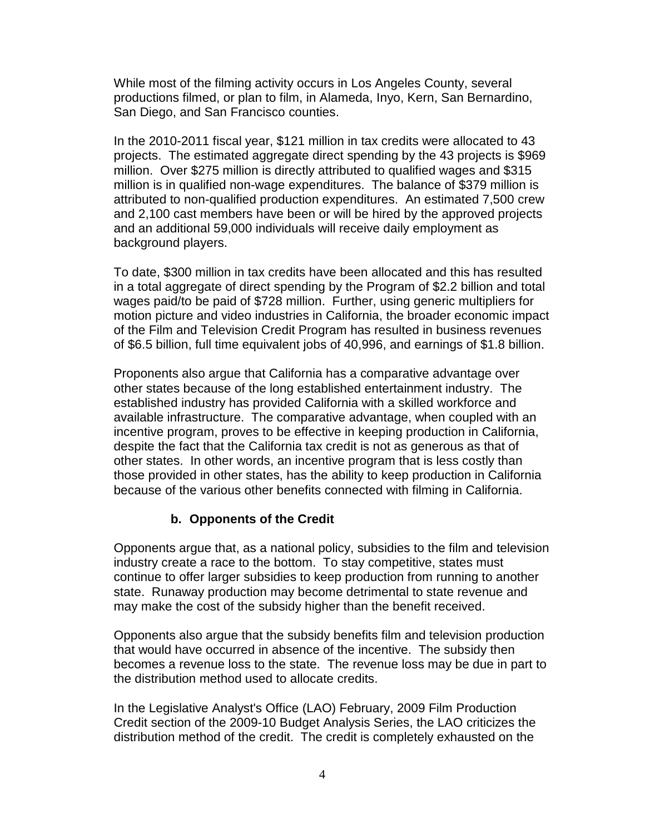While most of the filming activity occurs in Los Angeles County, several productions filmed, or plan to film, in Alameda, Inyo, Kern, San Bernardino, San Diego, and San Francisco counties.

 In the 2010-2011 fiscal year, \$121 million in tax credits were allocated to 43 projects. The estimated aggregate direct spending by the 43 projects is \$969 million. Over \$275 million is directly attributed to qualified wages and \$315 million is in qualified non-wage expenditures. The balance of \$379 million is attributed to non-qualified production expenditures. An estimated 7,500 crew and 2,100 cast members have been or will be hired by the approved projects and an additional 59,000 individuals will receive daily employment as background players.

 To date, \$300 million in tax credits have been allocated and this has resulted in a total aggregate of direct spending by the Program of \$2.2 billion and total wages paid/to be paid of \$728 million. Further, using generic multipliers for motion picture and video industries in California, the broader economic impact of the Film and Television Credit Program has resulted in business revenues of \$6.5 billion, full time equivalent jobs of 40,996, and earnings of \$1.8 billion.

 Proponents also argue that California has a comparative advantage over other states because of the long established entertainment industry. The established industry has provided California with a skilled workforce and available infrastructure. The comparative advantage, when coupled with an incentive program, proves to be effective in keeping production in California, despite the fact that the California tax credit is not as generous as that of other states. In other words, an incentive program that is less costly than those provided in other states, has the ability to keep production in California because of the various other benefits connected with filming in California.

#### **b. Opponents of the Credit**

 Opponents argue that, as a national policy, subsidies to the film and television industry create a race to the bottom. To stay competitive, states must continue to offer larger subsidies to keep production from running to another state. Runaway production may become detrimental to state revenue and may make the cost of the subsidy higher than the benefit received.

 Opponents also argue that the subsidy benefits film and television production that would have occurred in absence of the incentive. The subsidy then becomes a revenue loss to the state. The revenue loss may be due in part to the distribution method used to allocate credits.

 In the Legislative Analyst's Office (LAO) February, 2009 Film Production Credit section of the 2009-10 Budget Analysis Series, the LAO criticizes the distribution method of the credit. The credit is completely exhausted on the